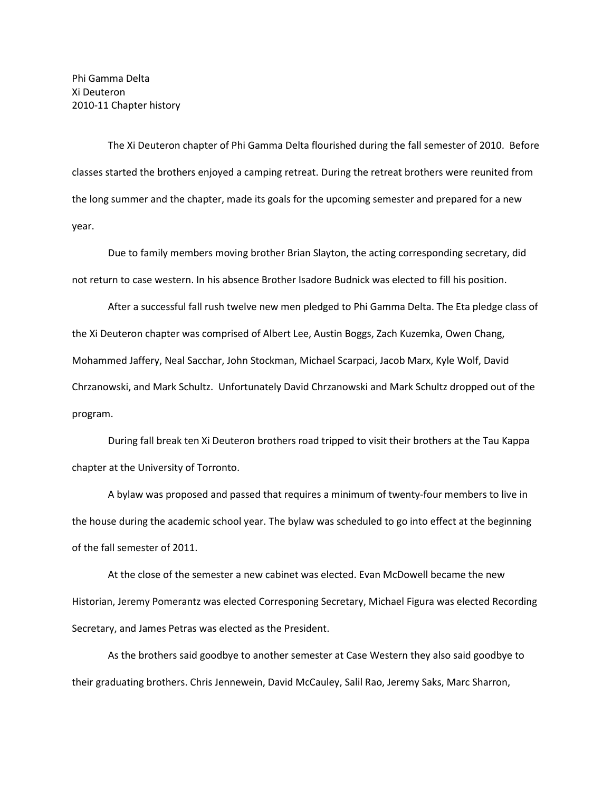Phi Gamma Delta Xi Deuteron 2010-11 Chapter history

The Xi Deuteron chapter of Phi Gamma Delta flourished during the fall semester of 2010. Before classes started the brothers enjoyed a camping retreat. During the retreat brothers were reunited from the long summer and the chapter, made its goals for the upcoming semester and prepared for a new year.

Due to family members moving brother Brian Slayton, the acting corresponding secretary, did not return to case western. In his absence Brother Isadore Budnick was elected to fill his position.

After a successful fall rush twelve new men pledged to Phi Gamma Delta. The Eta pledge class of the Xi Deuteron chapter was comprised of Albert Lee, Austin Boggs, Zach Kuzemka, Owen Chang, Mohammed Jaffery, Neal Sacchar, John Stockman, Michael Scarpaci, Jacob Marx, Kyle Wolf, David Chrzanowski, and Mark Schultz. Unfortunately David Chrzanowski and Mark Schultz dropped out of the program.

During fall break ten Xi Deuteron brothers road tripped to visit their brothers at the Tau Kappa chapter at the University of Torronto.

A bylaw was proposed and passed that requires a minimum of twenty-four members to live in the house during the academic school year. The bylaw was scheduled to go into effect at the beginning of the fall semester of 2011.

At the close of the semester a new cabinet was elected. Evan McDowell became the new Historian, Jeremy Pomerantz was elected Corresponing Secretary, Michael Figura was elected Recording Secretary, and James Petras was elected as the President.

As the brothers said goodbye to another semester at Case Western they also said goodbye to their graduating brothers. Chris Jennewein, David McCauley, Salil Rao, Jeremy Saks, Marc Sharron,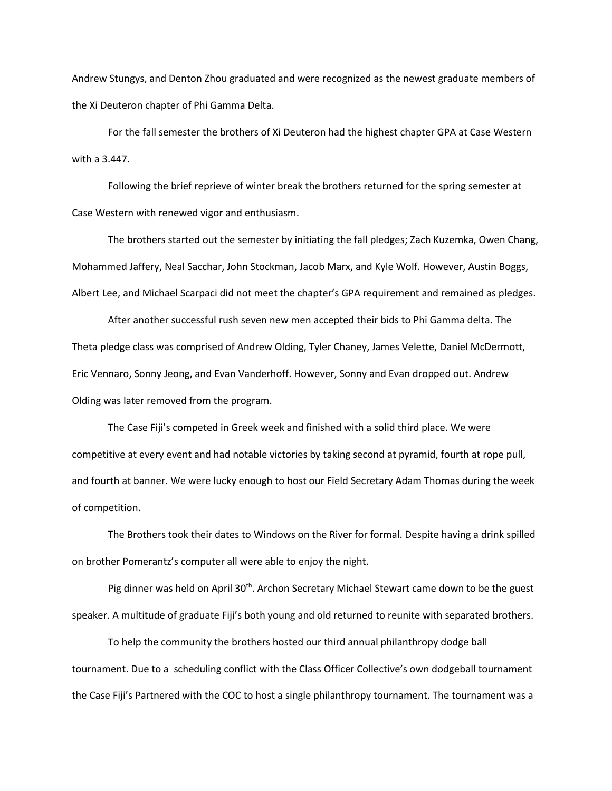Andrew Stungys, and Denton Zhou graduated and were recognized as the newest graduate members of the Xi Deuteron chapter of Phi Gamma Delta.

For the fall semester the brothers of Xi Deuteron had the highest chapter GPA at Case Western with a 3.447.

Following the brief reprieve of winter break the brothers returned for the spring semester at Case Western with renewed vigor and enthusiasm.

The brothers started out the semester by initiating the fall pledges; Zach Kuzemka, Owen Chang, Mohammed Jaffery, Neal Sacchar, John Stockman, Jacob Marx, and Kyle Wolf. However, Austin Boggs, Albert Lee, and Michael Scarpaci did not meet the chapter's GPA requirement and remained as pledges.

After another successful rush seven new men accepted their bids to Phi Gamma delta. The Theta pledge class was comprised of Andrew Olding, Tyler Chaney, James Velette, Daniel McDermott, Eric Vennaro, Sonny Jeong, and Evan Vanderhoff. However, Sonny and Evan dropped out. Andrew Olding was later removed from the program.

The Case Fiji's competed in Greek week and finished with a solid third place. We were competitive at every event and had notable victories by taking second at pyramid, fourth at rope pull, and fourth at banner. We were lucky enough to host our Field Secretary Adam Thomas during the week of competition.

The Brothers took their dates to Windows on the River for formal. Despite having a drink spilled on brother Pomerantz's computer all were able to enjoy the night.

Pig dinner was held on April 30<sup>th</sup>. Archon Secretary Michael Stewart came down to be the guest speaker. A multitude of graduate Fiji's both young and old returned to reunite with separated brothers.

To help the community the brothers hosted our third annual philanthropy dodge ball tournament. Due to a scheduling conflict with the Class Officer Collective's own dodgeball tournament the Case Fiji's Partnered with the COC to host a single philanthropy tournament. The tournament was a